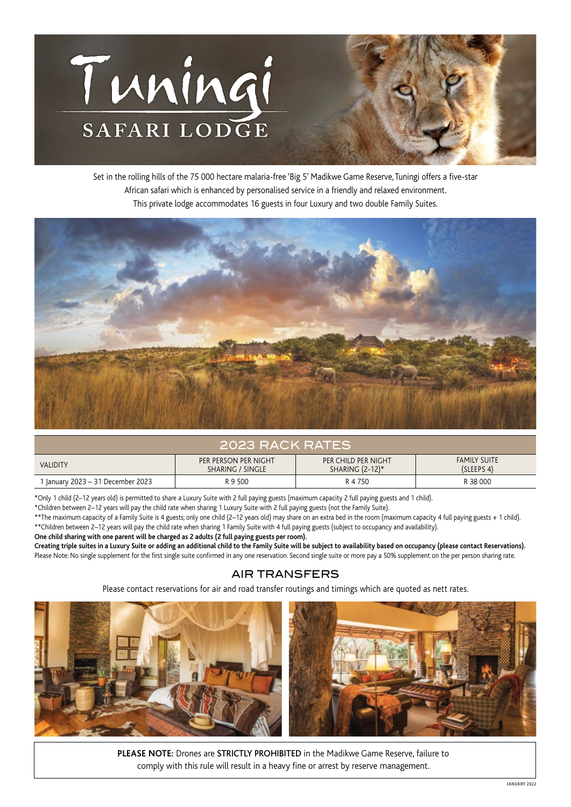

Set in the rolling hills of the 75 000 hectare malaria-free 'Big 5' Madikwe Game Reserve, Tuningi offers a five-star African safari which is enhanced by personalised service in a friendly and relaxed environment. This private lodge accommodates 16 guests in four Luxury and two double Family Suites.



## 2023 RACK RATES

| <b>VALIDITY</b>                   | PER PERSON PER NIGHT<br>SHARING / SINGLE | PER CHILD PER NIGHT<br>SHARING (2-12)* | <b>FAMILY SUITE</b><br>(SLEEPS 4) |
|-----------------------------------|------------------------------------------|----------------------------------------|-----------------------------------|
| ' January 2023 – 31 December 2023 | R 9 500                                  | R 4 750                                | R 38 000                          |

\*Only 1 child (2–12 years old) is permitted to share a Luxury Suite with 2 full paying guests (maximum capacity 2 full paying guests and 1 child).

\*Children between 2–12 years will pay the child rate when sharing 1 Luxury Suite with 2 full paying guests (not the Family Suite).

\*\*The maximum capacity of a Family Suite is 4 guests; only one child (2–12 years old) may share on an extra bed in the room (maximum capacity 4 full paying guests + 1 child). \*\*Children between 2–12 years will pay the child rate when sharing 1 Family Suite with 4 full paying guests (subject to occupancy and availability).

**One child sharing with one parent will be charged as 2 adults (2 full paying guests per room).**

**Creating triple suites in a Luxury Suite or adding an additional child to the Family Suite will be subject to availability based on occupancy (please contact Reservations).** Please Note: No single supplement for the first single suite confirmed in any one reservation. Second single suite or more pay a 50% supplement on the per person sharing rate.

## AIR TRANSFERS

Please contact reservations for air and road transfer routings and timings which are quoted as nett rates.



**PLEASE NOTE:** Drones are STRICTLY PROHIBITED in the Madikwe Game Reserve, failure to comply with this rule will result in a heavy fine or arrest by reserve management.